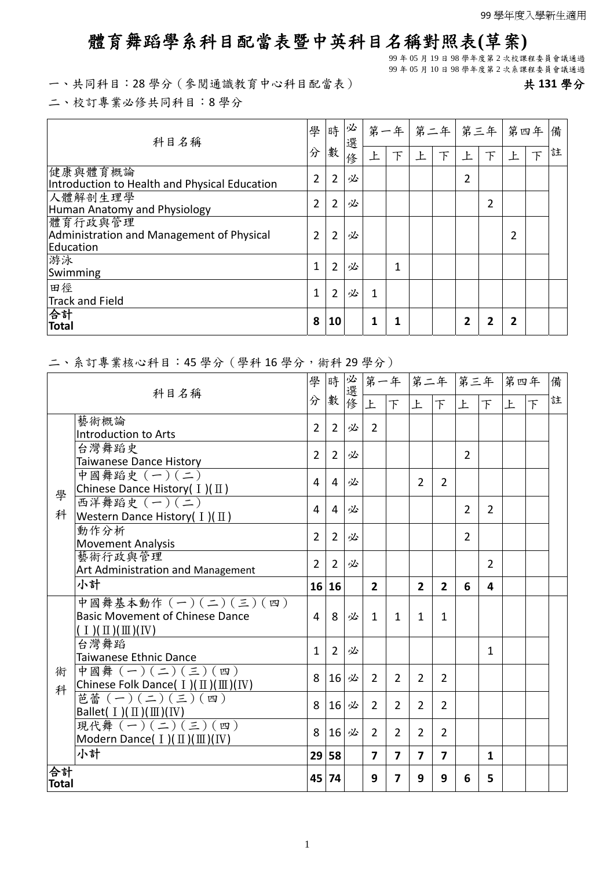## 體育舞蹈學系科目配當表暨中英科目名稱對照表**(**草案**)**

99 年 05 月 19 日 98 學年度第 2 次校課程委員會議通過

99 年 05 月 10 日 98 學年度第 2 次系課程委員會議通過

一、共同科目:28 學分(參閱通識教育中心科目配當表) 共 **131** 學分

二、校訂專業必修共同科目:8 學分

| 學<br>科目名稱                                                         |                | 時              | 必<br>選 |   | 第一年 |   | 第二年 | 第三年 |   | 第四年 備 |   |
|-------------------------------------------------------------------|----------------|----------------|--------|---|-----|---|-----|-----|---|-------|---|
|                                                                   | 分              | 數              | 俢      |   | 下   | 上 | 下   | 上   | 下 | 下     | 註 |
| 健康與體育概論<br>Introduction to Health and Physical Education          | $\overline{2}$ | $\overline{2}$ | 必      |   |     |   |     | 2   |   |       |   |
| 人體解剖生理學<br>Human Anatomy and Physiology                           | 2              | $\overline{2}$ | 必      |   |     |   |     |     | 2 |       |   |
| 體育行政與管理<br>Administration and Management of Physical<br>Education | 2              | $\overline{2}$ | 必      |   |     |   |     |     |   |       |   |
| 游泳<br>Swimming                                                    | 1              | $\overline{2}$ | 必      |   | 1   |   |     |     |   |       |   |
| 田徑<br>Track and Field                                             | 1              | $\overline{2}$ | 必      | 1 |     |   |     |     |   |       |   |
| 合計<br>Total                                                       | 8              | 10             |        | 1 | 1   |   |     | 2   | 2 |       |   |

## 二、系訂專業核心科目:45 學分(學科 16 學分,術科 29 學分)

| 科目名稱                                             |                                                                    | 學              | 時              | 必選修 |                         |                |                         |                         | 第一年 第二年 第三年    |                | 第四年 |                          | 備 |
|--------------------------------------------------|--------------------------------------------------------------------|----------------|----------------|-----|-------------------------|----------------|-------------------------|-------------------------|----------------|----------------|-----|--------------------------|---|
| 分                                                |                                                                    |                | 數              |     | 上                       | $\top$         | 上                       | $\top$                  | 上              | 下              | 上   | $\overline{\mathcal{F}}$ | 註 |
|                                                  | 藝術概論                                                               | $\overline{2}$ | $\overline{2}$ | 必   | $\overline{2}$          |                |                         |                         |                |                |     |                          |   |
|                                                  | Introduction to Arts<br>台灣舞蹈史                                      |                |                |     |                         |                |                         |                         |                |                |     |                          |   |
|                                                  | Taiwanese Dance History                                            | $\overline{2}$ | $\overline{2}$ | 必   |                         |                |                         |                         | $\overline{2}$ |                |     |                          |   |
|                                                  | 中國舞蹈史 (一)(二)<br>Chinese Dance History( $I$ )( $\text{II}$ )        | 4              | 4              | 必   |                         |                | $\overline{2}$          | $\overline{2}$          |                |                |     |                          |   |
| 學                                                | 西洋舞蹈史 (一)(二)                                                       |                |                |     |                         |                |                         |                         |                |                |     |                          |   |
| 科<br>Western Dance History( $I$ )( $\text{II}$ ) |                                                                    |                |                | 必   |                         |                |                         |                         | $\overline{2}$ | 2              |     |                          |   |
| 動作分析                                             |                                                                    |                |                | 必   |                         |                |                         |                         | $\overline{2}$ |                |     |                          |   |
| <b>Movement Analysis</b>                         |                                                                    | $\overline{2}$ | $\overline{2}$ |     |                         |                |                         |                         |                |                |     |                          |   |
|                                                  | 藝術行政與管理                                                            | $\overline{2}$ | $\overline{2}$ | 必   |                         |                |                         |                         |                | $\overline{2}$ |     |                          |   |
|                                                  | Art Administration and Management<br>小計                            |                |                |     |                         |                |                         |                         |                |                |     |                          |   |
|                                                  |                                                                    | 16             | 16             |     | $\overline{2}$          |                | $\overline{2}$          | $\overline{2}$          | 6              | 4              |     |                          |   |
|                                                  | 中國舞基本動作 (一)(二)(三)(四)<br><b>Basic Movement of Chinese Dance</b>     | 4              | 8              | 必   | $\mathbf{1}$            | $\mathbf{1}$   | $\mathbf{1}$            | $\mathbf{1}$            |                |                |     |                          |   |
|                                                  | $(1)(\Pi)(\Pi)(IV)$                                                |                |                |     |                         |                |                         |                         |                |                |     |                          |   |
|                                                  | 台灣舞蹈<br>Taiwanese Ethnic Dance                                     | $\mathbf{1}$   | $\overline{2}$ | 必   |                         |                |                         |                         |                | $\mathbf{1}$   |     |                          |   |
|                                                  |                                                                    |                |                |     |                         |                |                         |                         |                |                |     |                          |   |
|                                                  | 中國舞 $(-)(-)(-)(=)(\nabla)$<br>術                                    |                | 16             | 必   | $\overline{2}$          | $\overline{2}$ | $\overline{2}$          | 2                       |                |                |     |                          |   |
| 科                                                | Chinese Folk Dance( I )( II )( III )( IV )<br>芭蕾 (一) (二) (三) ( 四 ) | 8              | 16             | 必   | $\overline{2}$          | $\overline{2}$ | $\overline{2}$          | $\overline{2}$          |                |                |     |                          |   |
|                                                  | Ballet(I)(Ⅱ)(Ⅲ)(Ⅳ)<br> 現代舞(一)(ニ)(三)(四)                             |                |                |     |                         |                |                         |                         |                |                |     |                          |   |
|                                                  | Modern Dance( $I$ )( $II$ )( $III$ )( IV)                          | 8              | 16             | 必   | 2                       | $\overline{2}$ | $\overline{2}$          | $\overline{2}$          |                |                |     |                          |   |
|                                                  | 小計                                                                 | 29             | 58             |     | $\overline{\mathbf{z}}$ | 7              | $\overline{\mathbf{z}}$ | $\overline{\mathbf{z}}$ |                | $\mathbf{1}$   |     |                          |   |
| 合計                                               |                                                                    |                |                |     | 9                       | 7              | 9                       | 9                       | 6              | 5              |     |                          |   |
| Total                                            |                                                                    |                |                |     |                         |                |                         |                         |                |                |     |                          |   |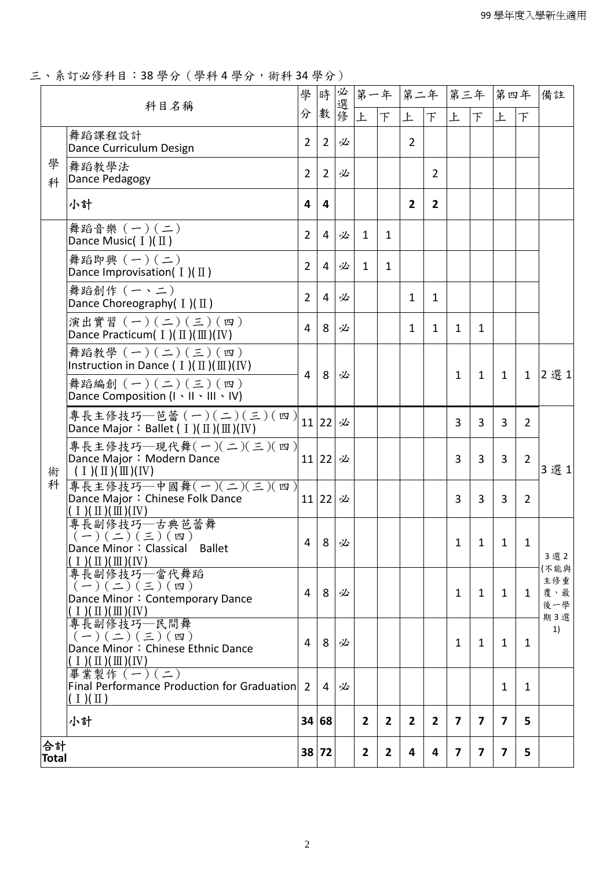三、系訂必修科目:38 學分(學科 4 學分,術科 34 學分)

|                    | 科目名稱                                                                                                                                 |   | 時 數            |   |                |                | 第一年 第二年 第三年    |                    |                |                         | 第四年          |                | 備註                        |
|--------------------|--------------------------------------------------------------------------------------------------------------------------------------|---|----------------|---|----------------|----------------|----------------|--------------------|----------------|-------------------------|--------------|----------------|---------------------------|
|                    |                                                                                                                                      | 分 |                |   | 上              | F              | 上              | $\vert \top \vert$ | 上              | 下                       | 上            | $\top$         |                           |
|                    | 舞蹈課程設計<br>Dance Curriculum Design                                                                                                    | 2 | $\overline{2}$ | 必 |                |                | $\overline{2}$ |                    |                |                         |              |                |                           |
| 學<br>科             | 舞蹈教學法<br>Dance Pedagogy                                                                                                              | 2 | $\overline{2}$ | 必 |                |                |                | 2                  |                |                         |              |                |                           |
|                    | 小計                                                                                                                                   | 4 | 4              |   |                |                | $\overline{2}$ | $\overline{2}$     |                |                         |              |                |                           |
|                    | 舞蹈音樂 (一)(二)<br>Dance Music( $I$ )( $\text{II}$ )                                                                                     | 2 | 4              | 必 | $\mathbf{1}$   | 1              |                |                    |                |                         |              |                |                           |
|                    | 舞蹈即興 (一)(二)<br>Dance Improvisation( $I$ )( $\text{II}$ )                                                                             | 2 | 4              | 必 | 1              | 1              |                |                    |                |                         |              |                |                           |
|                    | 舞蹈創作 (一、二)<br>Dance Choreography( $I$ )( $\text{II}$ )                                                                               | 2 | 4              | 必 |                |                | $\mathbf{1}$   | 1                  |                |                         |              |                |                           |
|                    | 演出實習 (一)(二)(三)(四)<br>Dance Practicum( $I$ )( $\mathbb{II}$ )( $\mathbb{II}$ )( $\mathbb{IV}$ )                                       | 4 | 8              | 必 |                |                | $\mathbf{1}$   | $\mathbf{1}$       | $\mathbf{1}$   | 1                       |              |                |                           |
|                    | 舞蹈教學 (一)(二)(三)(四)<br>Instruction in Dance ( $I$ )( $\mathbb{II}$ )( $\mathbb{II}$ )( $\mathbb{IV}$ )                                 | 4 | 8              | 必 |                |                |                |                    | $\mathbf{1}$   | $\mathbf{1}$            | $\mathbf{1}$ | $\mathbf{1}$   | 2選1                       |
|                    | 舞蹈編創 (一) (二) (三) (四)<br>Dance Composition (I \ II \ III \ IV)                                                                        |   |                |   |                |                |                |                    |                |                         |              |                |                           |
|                    | 專長主修技巧—芭蕾(一)(二)(三)(四)<br>Dance Major: Ballet ( $I$ )( $\text{II}$ )( $\text{III}$ )( IV)                                             |   | 11 22          | 必 |                |                |                |                    | 3              | 3                       | 3            | $\overline{2}$ |                           |
| 術                  | 專長主修技巧–現代舞(一)(二)(三)(四)<br>Dance Major: Modern Dance<br>$(1)(\Pi)(\Pi)(IV)$                                                           |   | 11 22 必        |   |                |                |                |                    | $\overline{3}$ | $\overline{3}$          | 3            | $\overline{2}$ | 3選1                       |
| 科                  | 專長主修技巧—中國舞(一)(二)(三)(四)<br>Dance Major: Chinese Folk Dance<br>$(1)(\mathbb{I})(\mathbb{I})(\mathbb{N})$                               |   | 11 22 必        |   |                |                |                |                    | 3              | 3                       | 3            | $\overline{2}$ |                           |
|                    | 專長副修技巧—古典芭蕾舞<br>$(-)(\underline{-})(\underline{z})(\underline{w})$<br><b>Ballet</b><br>Dance Minor: Classical<br>$(1)(\Pi)(\Pi)(IV)$ |   | $4$  8 必       |   |                |                |                |                    | $\mathbf{1}$   | $\mathbf{1}$            | $\mathbf{1}$ | 1              | 3選2                       |
|                    | 專長副修技巧–當代舞蹈<br>$(-)(\leq)(\leq)(\mathfrak{m})$<br>Dance Minor: Contemporary Dance<br>I $(\Pi)(\Pi)(\Pi)(IV)$                         | 4 | 8              | 必 |                |                |                |                    | $\mathbf{1}$   | 1                       | 1            | 1              | (不能與<br>主修重<br>覆,最<br>後一學 |
|                    | 專長副修技巧––民間舞<br>$(-)(\leq)(\leq)(\mathfrak{w})$<br>Dance Minor: Chinese Ethnic Dance<br>$(1)(\Pi)(\Pi)(N)$                            | 4 | 8              | 必 |                |                |                |                    | $\mathbf{1}$   | 1                       | 1            | 1              | 期3選<br>1)                 |
|                    | 畢業製作 (一) (二)<br>Final Performance Production for Graduation<br>$($ I $)($ II $)$                                                     | 2 | $\overline{4}$ | 必 |                |                |                |                    |                |                         | 1            | 1              |                           |
|                    | 小計                                                                                                                                   |   | 34 68          |   | $\overline{2}$ | $\overline{2}$ | $\overline{2}$ | $\mathbf{2}$       | 7              | $\overline{\mathbf{z}}$ | 7            | 5              |                           |
| 合計<br><b>Total</b> |                                                                                                                                      |   | 38 72          |   | $\overline{2}$ | $\overline{2}$ | 4              | 4                  | $\overline{7}$ | 7                       | 7            | 5              |                           |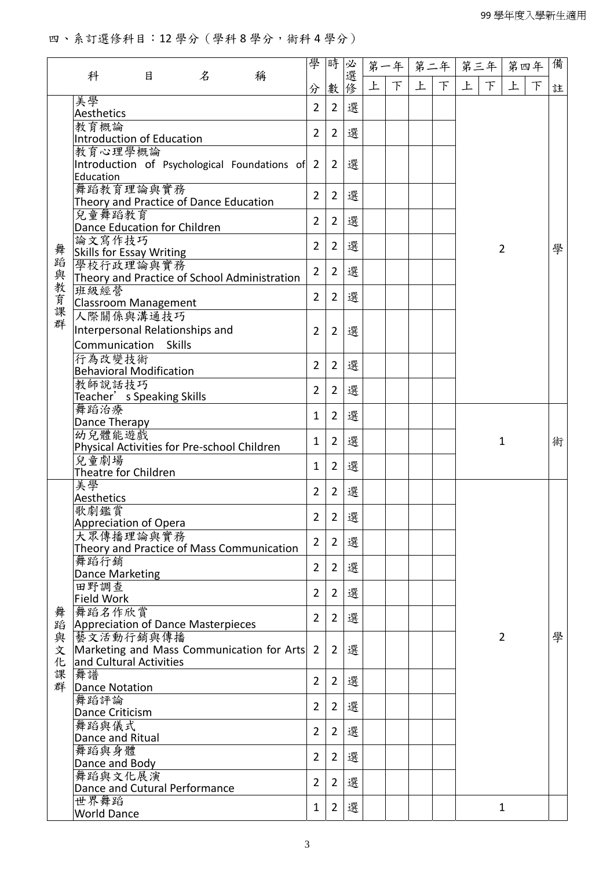## 四、系訂選修科目:12 學分(學科 8 學分,術科 4 學分)

|         |                                             |   |               |                                              | 學              | 時              |     |   | 第一年 |   | 第二年 | 第三年 |        | 第四年            |   | 備 |
|---------|---------------------------------------------|---|---------------|----------------------------------------------|----------------|----------------|-----|---|-----|---|-----|-----|--------|----------------|---|---|
|         | 科                                           | 目 | $\mathcal{Z}$ | 稱                                            | 分              | 數              | 必選修 | 上 | 下   | 上 | F   | 上   | $\top$ | 上              | F | 註 |
|         | 美學                                          |   |               |                                              | $\overline{2}$ | $\overline{2}$ | 選   |   |     |   |     |     |        |                |   |   |
|         | Aesthetics<br>教育概論                          |   |               |                                              |                |                |     |   |     |   |     |     |        |                |   |   |
|         | <b>Introduction of Education</b>            |   |               |                                              | $\overline{2}$ | $\overline{2}$ | 選   |   |     |   |     |     |        |                |   |   |
|         | 教育心理學概論                                     |   |               |                                              |                |                |     |   |     |   |     |     |        |                |   |   |
|         | Education                                   |   |               | Introduction of Psychological Foundations of | $\overline{2}$ | $\overline{2}$ | 選   |   |     |   |     |     |        |                |   |   |
|         | 舞蹈教育理論與實務                                   |   |               |                                              |                |                |     |   |     |   |     |     |        |                |   |   |
|         | Theory and Practice of Dance Education      |   |               |                                              | $\overline{2}$ | $\overline{2}$ | 選   |   |     |   |     |     |        |                |   |   |
|         | 兒童舞蹈教育                                      |   |               |                                              | $\overline{2}$ | $\overline{2}$ | 選   |   |     |   |     |     |        |                |   |   |
|         | Dance Education for Children<br>論文寫作技巧      |   |               |                                              |                |                |     |   |     |   |     |     |        |                |   |   |
|         | <b>Skills for Essay Writing</b>             |   |               |                                              | $\overline{2}$ | $\overline{2}$ | 選   |   |     |   |     |     |        | $\overline{2}$ |   | 學 |
| 舞蹈與教育課群 | 學校行政理論與實務                                   |   |               |                                              | $\overline{2}$ | $\overline{2}$ | 選   |   |     |   |     |     |        |                |   |   |
|         | 班級經營                                        |   |               | Theory and Practice of School Administration |                |                |     |   |     |   |     |     |        |                |   |   |
|         | Classroom Management                        |   |               |                                              | $\overline{2}$ | $\overline{2}$ | 選   |   |     |   |     |     |        |                |   |   |
|         | 人際關係與溝通技巧                                   |   |               |                                              |                |                |     |   |     |   |     |     |        |                |   |   |
|         | Interpersonal Relationships and             |   |               |                                              | $\overline{2}$ | $\overline{2}$ | 選   |   |     |   |     |     |        |                |   |   |
|         | Communication Skills                        |   |               |                                              |                |                |     |   |     |   |     |     |        |                |   |   |
|         | 行為改變技術<br><b>Behavioral Modification</b>    |   |               |                                              | $\overline{2}$ | $\overline{2}$ | 選   |   |     |   |     |     |        |                |   |   |
|         | 教師說話技巧                                      |   |               |                                              |                |                |     |   |     |   |     |     |        |                |   |   |
|         | Teacher' s Speaking Skills                  |   |               |                                              | $\overline{2}$ | $\overline{2}$ | 選   |   |     |   |     |     |        |                |   |   |
|         | 舞蹈治療                                        |   | $\mathbf{1}$  | $\overline{2}$                               | 選              |                |     |   |     |   |     |     |        |                |   |   |
|         | Dance Therapy<br>幼兒體能遊戲                     |   |               |                                              |                |                |     |   |     |   |     |     |        |                |   |   |
|         | Physical Activities for Pre-school Children |   |               |                                              | 1              | $\overline{2}$ | 選   |   |     |   |     |     |        | $\mathbf{1}$   |   | 術 |
|         | 兒童劇場                                        |   |               |                                              | $\mathbf{1}$   | $\overline{2}$ | 選   |   |     |   |     |     |        |                |   |   |
|         | Theatre for Children<br>美學                  |   |               |                                              |                |                |     |   |     |   |     |     |        |                |   |   |
|         | Aesthetics                                  |   |               |                                              | $\overline{2}$ | $\overline{2}$ | 選   |   |     |   |     |     |        |                |   |   |
|         | 歌劇鑑賞                                        |   |               |                                              | $\overline{2}$ | $\overline{2}$ | 選   |   |     |   |     |     |        |                |   |   |
|         | <b>Appreciation of Opera</b>                |   |               |                                              |                |                |     |   |     |   |     |     |        |                |   |   |
|         | 大眾傳播理論與實務                                   |   |               | Theory and Practice of Mass Communication    | $\overline{2}$ | $\overline{2}$ | 選   |   |     |   |     |     |        |                |   |   |
|         | 舞蹈行銷                                        |   |               |                                              | $\overline{2}$ | $\overline{2}$ | 選   |   |     |   |     |     |        |                |   |   |
|         | Dance Marketing                             |   |               |                                              |                |                |     |   |     |   |     |     |        |                |   |   |
|         | 田野調查<br><b>Field Work</b>                   |   |               |                                              | $\overline{2}$ | $\overline{2}$ | 選   |   |     |   |     |     |        |                |   |   |
|         | 舞蹈名作欣賞                                      |   |               |                                              |                |                |     |   |     |   |     |     |        |                |   |   |
| 舞蹈      | Appreciation of Dance Masterpieces          |   |               |                                              | $\overline{2}$ | $\overline{2}$ | 選   |   |     |   |     |     |        |                |   |   |
| 與文      | 藝文活動行銷與傳播                                   |   |               |                                              |                |                | 選   |   |     |   |     |     |        | $\overline{2}$ |   | 學 |
| 化       | and Cultural Activities                     |   |               | Marketing and Mass Communication for Arts    | $\overline{2}$ | $\overline{2}$ |     |   |     |   |     |     |        |                |   |   |
| 課       | 舞譜                                          |   |               |                                              | $\overline{2}$ | $\overline{2}$ | 選   |   |     |   |     |     |        |                |   |   |
| 群       | Dance Notation                              |   |               |                                              |                |                |     |   |     |   |     |     |        |                |   |   |
|         | 舞蹈評論<br>Dance Criticism                     |   |               |                                              | $\overline{2}$ | $\overline{2}$ | 選   |   |     |   |     |     |        |                |   |   |
|         | 舞蹈與儀式                                       |   |               |                                              |                |                |     |   |     |   |     |     |        |                |   |   |
|         | Dance and Ritual                            |   |               |                                              | $\overline{2}$ | $\overline{2}$ | 選   |   |     |   |     |     |        |                |   |   |
|         | 舞蹈與身體                                       |   |               |                                              | $\overline{2}$ | $\overline{2}$ | 選   |   |     |   |     |     |        |                |   |   |
|         | Dance and Body<br>舞蹈與文化展演                   |   |               |                                              |                |                |     |   |     |   |     |     |        |                |   |   |
|         | Dance and Cutural Performance               |   |               |                                              | $\overline{2}$ | $\overline{2}$ | 選   |   |     |   |     |     |        |                |   |   |
|         | 世界舞蹈                                        |   |               |                                              | $\mathbf{1}$   | $\overline{2}$ | 選   |   |     |   |     |     |        | $\mathbf{1}$   |   |   |
|         | <b>World Dance</b>                          |   |               |                                              |                |                |     |   |     |   |     |     |        |                |   |   |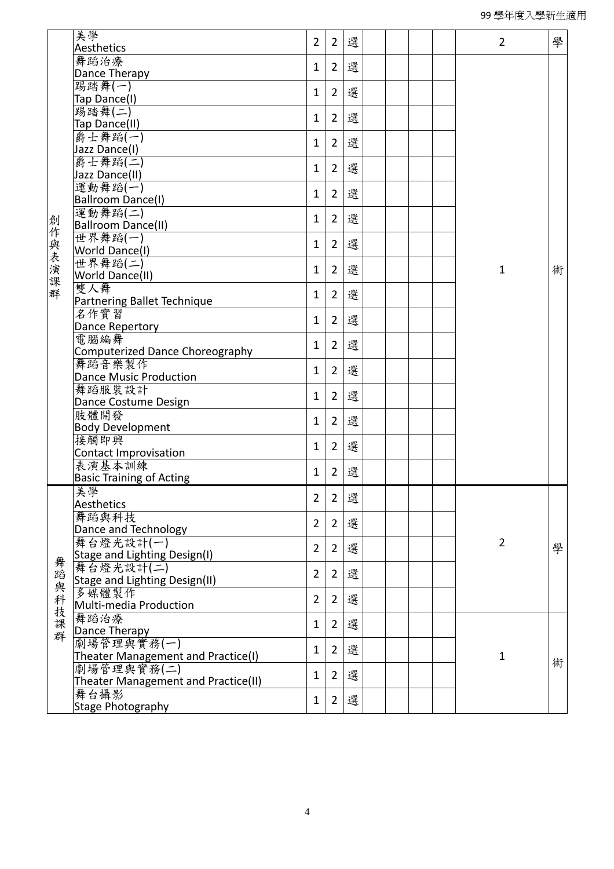|         | 美學                                   |                |                |   |  |  |                |   |
|---------|--------------------------------------|----------------|----------------|---|--|--|----------------|---|
|         | Aesthetics                           | $\overline{2}$ | $\overline{2}$ | 選 |  |  | $\overline{2}$ | 學 |
|         | 舞蹈治療                                 |                |                |   |  |  |                |   |
|         | Dance Therapy                        | 1              | $\overline{2}$ | 選 |  |  |                |   |
|         | 踢踏舞(一)                               |                |                |   |  |  |                |   |
|         | Tap Dance(I)                         | 1              | $\overline{2}$ | 選 |  |  |                |   |
|         | 踢踏舞(二)                               |                |                |   |  |  |                |   |
|         | Tap Dance(II)                        | 1              | $\overline{2}$ | 選 |  |  |                |   |
|         | 爵士舞蹈(一)                              |                |                |   |  |  |                |   |
|         | Jazz Dance(I)                        | $\mathbf{1}$   | $\overline{2}$ | 選 |  |  |                |   |
|         | 爵士舞蹈(二)                              |                |                |   |  |  |                |   |
|         | Jazz Dance(II)                       | $\mathbf{1}$   | $\overline{2}$ | 選 |  |  |                |   |
|         | 運動舞蹈(一)                              |                |                |   |  |  |                |   |
|         | Ballroom Dance(I)                    | 1              | $\overline{2}$ | 選 |  |  |                |   |
|         | 運動舞蹈(二)                              |                |                |   |  |  |                |   |
|         | Ballroom Dance(II)                   | 1              | $\overline{2}$ | 選 |  |  |                |   |
|         | 世界舞蹈(一)                              |                |                |   |  |  |                |   |
|         | World Dance(I)                       | 1              | $\overline{2}$ | 選 |  |  |                |   |
|         | 世界舞蹈(二)                              |                |                |   |  |  |                |   |
|         | World Dance(II)                      | 1              | $\overline{2}$ | 選 |  |  | 1              | 術 |
| 創作與表演課群 | 雙人舞                                  |                |                |   |  |  |                |   |
|         | Partnering Ballet Technique          | 1              | $\overline{2}$ | 選 |  |  |                |   |
|         | 名作實習                                 |                |                |   |  |  |                |   |
|         | Dance Repertory                      | 1              | $\overline{2}$ | 選 |  |  |                |   |
|         | 電腦編舞                                 |                |                |   |  |  |                |   |
|         | Computerized Dance Choreography      | 1              | $\overline{2}$ | 選 |  |  |                |   |
|         | 舞蹈音樂製作                               |                |                |   |  |  |                |   |
|         | <b>Dance Music Production</b>        | 1              | $\overline{2}$ | 選 |  |  |                |   |
|         | 舞蹈服裝設計                               |                |                |   |  |  |                |   |
|         | Dance Costume Design                 | 1              | $\overline{2}$ | 選 |  |  |                |   |
|         | 肢體開發                                 |                |                |   |  |  |                |   |
|         | <b>Body Development</b>              | 1              | $\overline{2}$ | 選 |  |  |                |   |
|         | 接觸即興                                 |                |                |   |  |  |                |   |
|         | <b>Contact Improvisation</b>         | $\mathbf{1}$   | $\overline{2}$ | 選 |  |  |                |   |
|         | 表演基本訓練                               |                |                |   |  |  |                |   |
|         | <b>Basic Training of Acting</b>      | 1              | $\overline{2}$ | 選 |  |  |                |   |
|         |                                      |                |                |   |  |  |                |   |
|         | 美學                                   | $\overline{2}$ | $\overline{2}$ | 選 |  |  |                |   |
|         | Aesthetics                           |                |                |   |  |  |                |   |
|         | 舞蹈與科技                                | $\overline{2}$ | $\overline{2}$ | 選 |  |  |                |   |
|         | Dance and Technology                 |                |                |   |  |  | $\overline{2}$ |   |
|         | 舞台燈光設計(一)                            | $\overline{2}$ | 2              | 選 |  |  |                | 學 |
|         | Stage and Lighting Design(I)         |                |                |   |  |  |                |   |
|         | 舞台燈光設計(二)                            | $\overline{2}$ | 2              | 選 |  |  |                |   |
|         | <b>Stage and Lighting Design(II)</b> |                |                |   |  |  |                |   |
|         | 多媒體製作                                | $\overline{2}$ | $\overline{2}$ | 選 |  |  |                |   |
|         | Multi-media Production               |                |                |   |  |  |                |   |
| 舞蹈與科技課群 | 舞蹈治療                                 | 1              | 2              | 選 |  |  |                |   |
|         | Dance Therapy                        |                |                |   |  |  |                |   |
|         | 劇場管理與實務(一)                           | 1              | 2              | 選 |  |  |                |   |
|         | Theater Management and Practice(I)   |                |                |   |  |  | $\mathbf{1}$   | 術 |
|         | 劇場管理與實務(二)                           | $\mathbf{1}$   | 2              | 選 |  |  |                |   |
|         | Theater Management and Practice(II)  |                |                |   |  |  |                |   |
|         | 舞台攝影                                 | $\mathbf{1}$   | $\overline{2}$ | 選 |  |  |                |   |
|         | Stage Photography                    |                |                |   |  |  |                |   |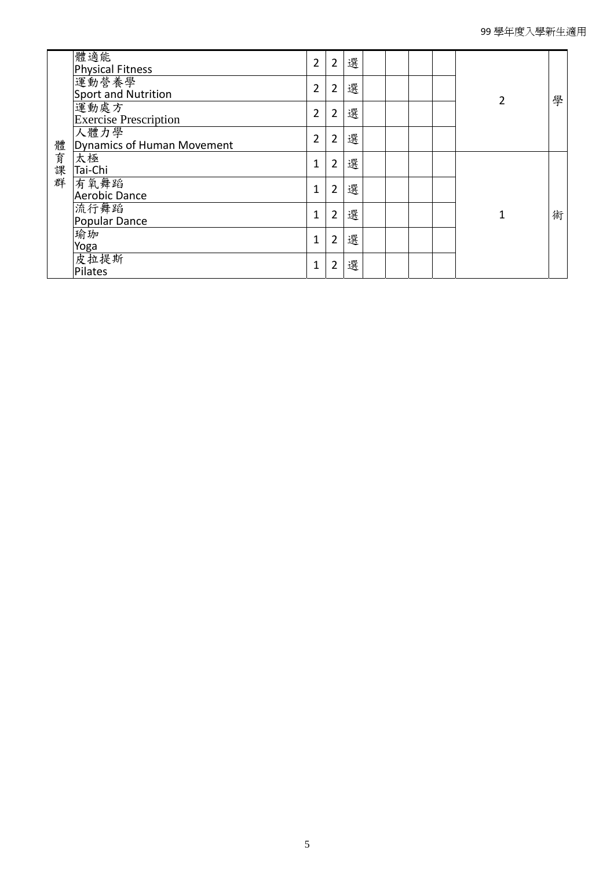|      | 體適能<br><b>Physical Fitness</b>       | $\overline{2}$ | $\overline{2}$ | 選 |  |  |   |   |
|------|--------------------------------------|----------------|----------------|---|--|--|---|---|
|      | 運動營養學<br>Sport and Nutrition         | $\overline{2}$ | $\overline{2}$ | 選 |  |  | 2 |   |
|      | 運動處方<br><b>Exercise Prescription</b> | $\overline{2}$ | $\overline{2}$ | 選 |  |  |   | 學 |
|      | 人體力學<br>Dynamics of Human Movement   | $\overline{2}$ | $\overline{2}$ | 選 |  |  |   |   |
| 體育課群 | 太極<br>Tai-Chi                        | $\mathbf{1}$   | $\overline{2}$ | 選 |  |  |   |   |
|      | 有氧舞蹈<br><b>Aerobic Dance</b>         | $\mathbf{1}$   | 2              | 選 |  |  |   |   |
|      | 流行舞蹈<br>Popular Dance                | $\mathbf{1}$   | 2              | 選 |  |  | 1 | 術 |
|      | 瑜珈<br>Yoga                           | $\mathbf{1}$   | $\overline{2}$ | 選 |  |  |   |   |
|      | 皮拉提斯<br>Pilates                      | $\mathbf{1}$   | 2              | 選 |  |  |   |   |